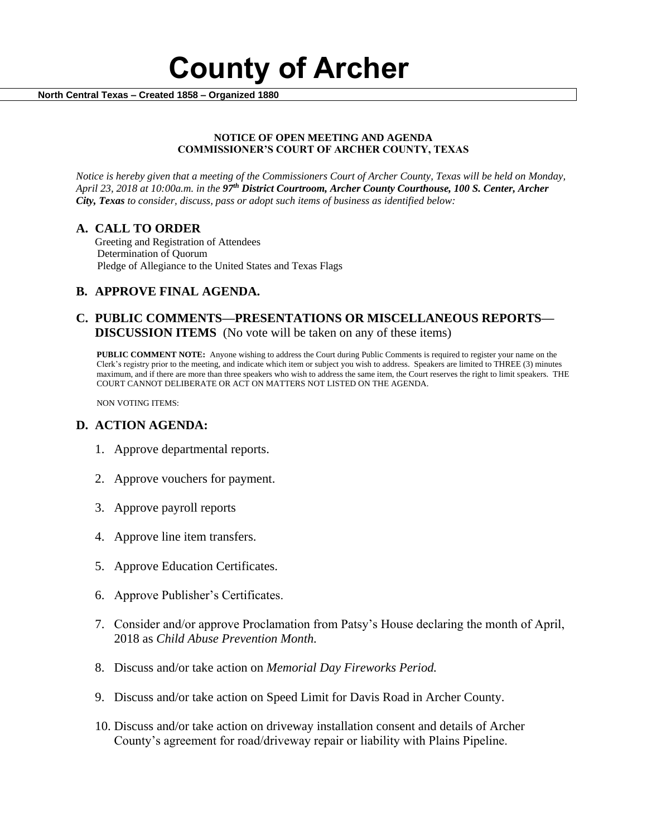

 **North Central Texas – Created 1858 – Organized 1880**

#### **NOTICE OF OPEN MEETING AND AGENDA COMMISSIONER'S COURT OF ARCHER COUNTY, TEXAS**

*Notice is hereby given that a meeting of the Commissioners Court of Archer County, Texas will be held on Monday, April 23, 2018 at 10:00a.m. in the 97th District Courtroom, Archer County Courthouse, 100 S. Center, Archer City, Texas to consider, discuss, pass or adopt such items of business as identified below:*

## **A. CALL TO ORDER**

 Greeting and Registration of Attendees Determination of Quorum Pledge of Allegiance to the United States and Texas Flags

# **B. APPROVE FINAL AGENDA.**

# **C. PUBLIC COMMENTS—PRESENTATIONS OR MISCELLANEOUS REPORTS— DISCUSSION ITEMS** (No vote will be taken on any of these items)

**PUBLIC COMMENT NOTE:** Anyone wishing to address the Court during Public Comments is required to register your name on the Clerk's registry prior to the meeting, and indicate which item or subject you wish to address. Speakers are limited to THREE (3) minutes maximum, and if there are more than three speakers who wish to address the same item, the Court reserves the right to limit speakers. THE COURT CANNOT DELIBERATE OR ACT ON MATTERS NOT LISTED ON THE AGENDA.

NON VOTING ITEMS:

## **D. ACTION AGENDA:**

- 1. Approve departmental reports.
- 2. Approve vouchers for payment.
- 3. Approve payroll reports
- 4. Approve line item transfers.
- 5. Approve Education Certificates.
- 6. Approve Publisher's Certificates.
- 7. Consider and/or approve Proclamation from Patsy's House declaring the month of April, 2018 as *Child Abuse Prevention Month.*
- 8. Discuss and/or take action on *Memorial Day Fireworks Period.*
- 9. Discuss and/or take action on Speed Limit for Davis Road in Archer County.
- 10. Discuss and/or take action on driveway installation consent and details of Archer County's agreement for road/driveway repair or liability with Plains Pipeline.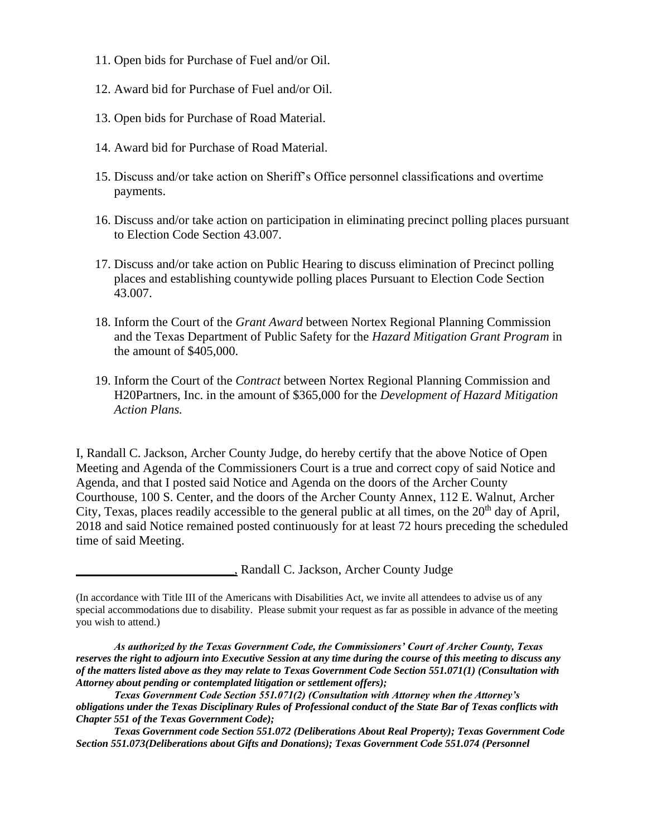- 11. Open bids for Purchase of Fuel and/or Oil.
- 12. Award bid for Purchase of Fuel and/or Oil.
- 13. Open bids for Purchase of Road Material.
- 14. Award bid for Purchase of Road Material.
- 15. Discuss and/or take action on Sheriff's Office personnel classifications and overtime payments.
- 16. Discuss and/or take action on participation in eliminating precinct polling places pursuant to Election Code Section 43.007.
- 17. Discuss and/or take action on Public Hearing to discuss elimination of Precinct polling places and establishing countywide polling places Pursuant to Election Code Section 43.007.
- 18. Inform the Court of the *Grant Award* between Nortex Regional Planning Commission and the Texas Department of Public Safety for the *Hazard Mitigation Grant Program* in the amount of \$405,000.
- 19. Inform the Court of the *Contract* between Nortex Regional Planning Commission and H20Partners, Inc. in the amount of \$365,000 for the *Development of Hazard Mitigation Action Plans.*

I, Randall C. Jackson, Archer County Judge, do hereby certify that the above Notice of Open Meeting and Agenda of the Commissioners Court is a true and correct copy of said Notice and Agenda, and that I posted said Notice and Agenda on the doors of the Archer County Courthouse, 100 S. Center, and the doors of the Archer County Annex, 112 E. Walnut, Archer City, Texas, places readily accessible to the general public at all times, on the  $20<sup>th</sup>$  day of April, 2018 and said Notice remained posted continuously for at least 72 hours preceding the scheduled time of said Meeting.

\_\_\_\_\_\_\_\_\_\_\_\_\_\_\_\_\_\_\_\_\_\_\_\_\_, Randall C. Jackson, Archer County Judge

*Texas Government code Section 551.072 (Deliberations About Real Property); Texas Government Code Section 551.073(Deliberations about Gifts and Donations); Texas Government Code 551.074 (Personnel* 

<sup>(</sup>In accordance with Title III of the Americans with Disabilities Act, we invite all attendees to advise us of any special accommodations due to disability. Please submit your request as far as possible in advance of the meeting you wish to attend.)

*As authorized by the Texas Government Code, the Commissioners' Court of Archer County, Texas reserves the right to adjourn into Executive Session at any time during the course of this meeting to discuss any of the matters listed above as they may relate to Texas Government Code Section 551.071(1) (Consultation with Attorney about pending or contemplated litigation or settlement offers);*

*Texas Government Code Section 551.071(2) (Consultation with Attorney when the Attorney's obligations under the Texas Disciplinary Rules of Professional conduct of the State Bar of Texas conflicts with Chapter 551 of the Texas Government Code);*